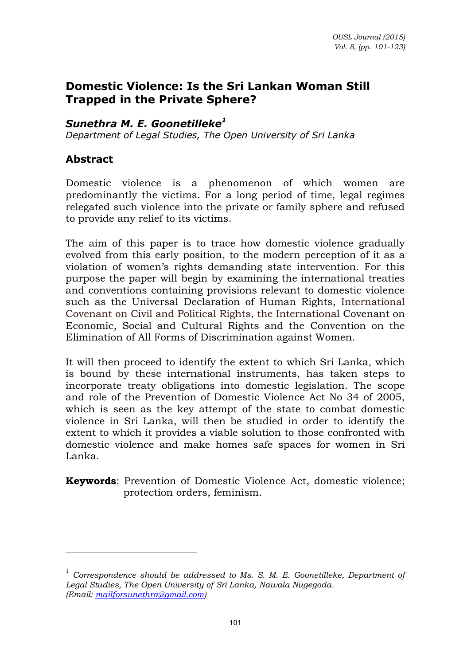# **Domestic Violence: Is the Sri Lankan Woman Still Trapped in the Private Sphere?**

### *Sunethra M. E. Goonetilleke<sup>1</sup>*

*Department of Legal Studies, The Open University of Sri Lanka* 

### **Abstract**

l

Domestic violence is a phenomenon of which women are predominantly the victims. For a long period of time, legal regimes relegated such violence into the private or family sphere and refused to provide any relief to its victims.

The aim of this paper is to trace how domestic violence gradually evolved from this early position, to the modern perception of it as a violation of women's rights demanding state intervention. For this purpose the paper will begin by examining the international treaties and conventions containing provisions relevant to domestic violence such as the Universal Declaration of Human Rights, International Covenant on Civil and Political Rights, the International Covenant on Economic, Social and Cultural Rights and the Convention on the Elimination of All Forms of Discrimination against Women.

It will then proceed to identify the extent to which Sri Lanka, which is bound by these international instruments, has taken steps to incorporate treaty obligations into domestic legislation. The scope and role of the Prevention of Domestic Violence Act No 34 of 2005, which is seen as the key attempt of the state to combat domestic violence in Sri Lanka, will then be studied in order to identify the extent to which it provides a viable solution to those confronted with domestic violence and make homes safe spaces for women in Sri Lanka.

**Keywords**: Prevention of Domestic Violence Act, domestic violence; protection orders, feminism.

<sup>&</sup>lt;sup>1</sup> Correspondence should be addressed to Ms. S. M. E. Goonetilleke, Department of *Legal Studies, The Open University of Sri Lanka, Nawala Nugegoda. (Email: [mailforsunethra@gmail.com\)](mailto:mailforsunethra@gmail.com)*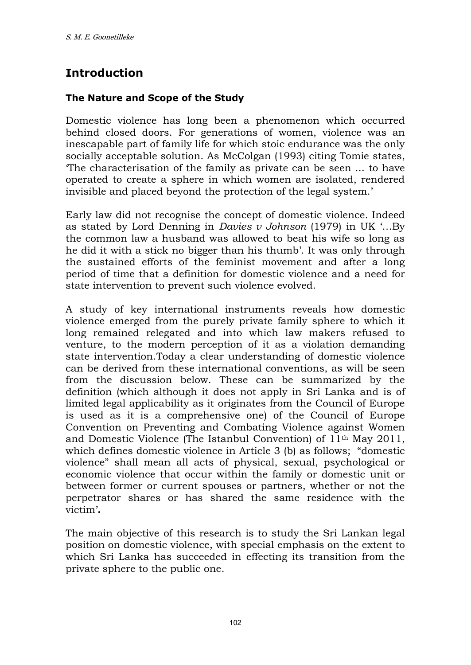# **Introduction**

### **The Nature and Scope of the Study**

Domestic violence has long been a phenomenon which occurred behind closed doors. For generations of women, violence was an inescapable part of family life for which stoic endurance was the only socially acceptable solution. As McColgan (1993) citing Tomie states, 'The characterisation of the family as private can be seen ... to have operated to create a sphere in which women are isolated, rendered invisible and placed beyond the protection of the legal system.'

Early law did not recognise the concept of domestic violence. Indeed as stated by Lord Denning in *Davies v Johnson* (1979) in UK '…By the common law a husband was allowed to beat his wife so long as he did it with a stick no bigger than his thumb'. It was only through the sustained efforts of the feminist movement and after a long period of time that a definition for domestic violence and a need for state intervention to prevent such violence evolved.

A study of key international instruments reveals how domestic violence emerged from the purely private family sphere to which it long remained relegated and into which law makers refused to venture, to the modern perception of it as a violation demanding state intervention.Today a clear understanding of domestic violence can be derived from these international conventions, as will be seen from the discussion below. These can be summarized by the definition (which although it does not apply in Sri Lanka and is of limited legal applicability as it originates from the Council of Europe is used as it is a comprehensive one) of the Council of Europe Convention on Preventing and Combating Violence against Women and Domestic Violence (The Istanbul Convention) of 11th May 2011, which defines domestic violence in Article 3 (b) as follows; "domestic violence" shall mean all acts of physical, sexual, psychological or economic violence that occur within the family or domestic unit or between former or current spouses or partners, whether or not the perpetrator shares or has shared the same residence with the victim'**.** 

The main objective of this research is to study the Sri Lankan legal position on domestic violence, with special emphasis on the extent to which Sri Lanka has succeeded in effecting its transition from the private sphere to the public one.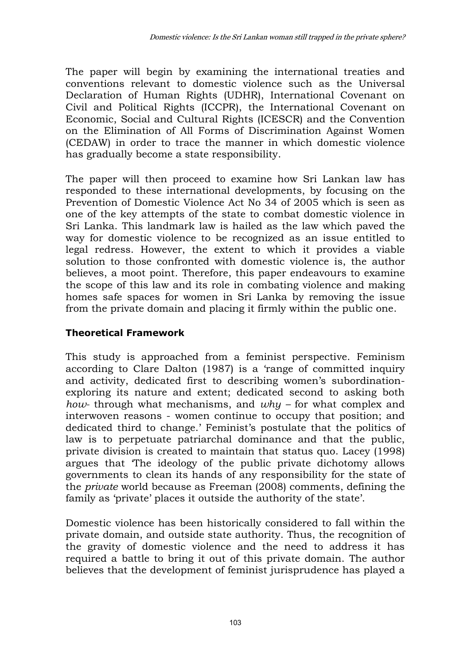The paper will begin by examining the international treaties and conventions relevant to domestic violence such as the Universal Declaration of Human Rights (UDHR), International Covenant on Civil and Political Rights (ICCPR), the International Covenant on Economic, Social and Cultural Rights (ICESCR) and the Convention on the Elimination of All Forms of Discrimination Against Women (CEDAW) in order to trace the manner in which domestic violence has gradually become a state responsibility.

The paper will then proceed to examine how Sri Lankan law has responded to these international developments, by focusing on the Prevention of Domestic Violence Act No 34 of 2005 which is seen as one of the key attempts of the state to combat domestic violence in Sri Lanka. This landmark law is hailed as the law which paved the way for domestic violence to be recognized as an issue entitled to legal redress. However, the extent to which it provides a viable solution to those confronted with domestic violence is, the author believes, a moot point. Therefore, this paper endeavours to examine the scope of this law and its role in combating violence and making homes safe spaces for women in Sri Lanka by removing the issue from the private domain and placing it firmly within the public one.

### **Theoretical Framework**

This study is approached from a feminist perspective. Feminism according to Clare Dalton (1987) is a 'range of committed inquiry and activity, dedicated first to describing women's subordinationexploring its nature and extent; dedicated second to asking both *how-* through what mechanisms, and *why –* for what complex and interwoven reasons - women continue to occupy that position; and dedicated third to change.' Feminist's postulate that the politics of law is to perpetuate patriarchal dominance and that the public, private division is created to maintain that status quo. Lacey (1998) argues that 'The ideology of the public private dichotomy allows governments to clean its hands of any responsibility for the state of the *private* world because as Freeman (2008) comments, defining the family as 'private' places it outside the authority of the state'.

Domestic violence has been historically considered to fall within the private domain, and outside state authority. Thus, the recognition of the gravity of domestic violence and the need to address it has required a battle to bring it out of this private domain. The author believes that the development of feminist jurisprudence has played a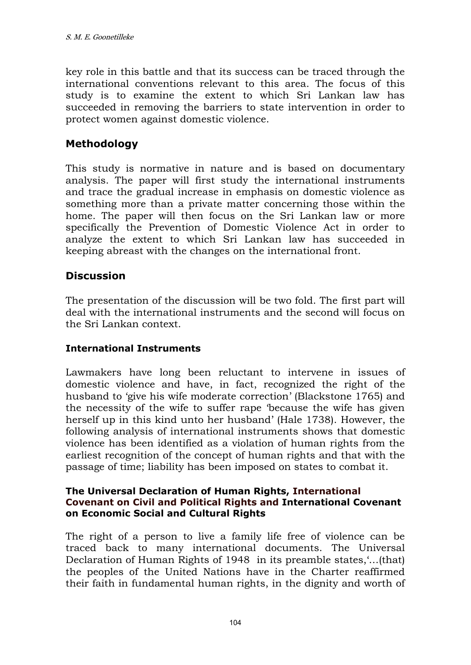key role in this battle and that its success can be traced through the international conventions relevant to this area. The focus of this study is to examine the extent to which Sri Lankan law has succeeded in removing the barriers to state intervention in order to protect women against domestic violence.

# **Methodology**

This study is normative in nature and is based on documentary analysis. The paper will first study the international instruments and trace the gradual increase in emphasis on domestic violence as something more than a private matter concerning those within the home. The paper will then focus on the Sri Lankan law or more specifically the Prevention of Domestic Violence Act in order to analyze the extent to which Sri Lankan law has succeeded in keeping abreast with the changes on the international front.

# **Discussion**

The presentation of the discussion will be two fold. The first part will deal with the international instruments and the second will focus on the Sri Lankan context.

#### **International Instruments**

Lawmakers have long been reluctant to intervene in issues of domestic violence and have, in fact, recognized the right of the husband to 'give his wife moderate correction' (Blackstone 1765) and the necessity of the wife to suffer rape 'because the wife has given herself up in this kind unto her husband' (Hale 1738). However, the following analysis of international instruments shows that domestic violence has been identified as a violation of human rights from the earliest recognition of the concept of human rights and that with the passage of time; liability has been imposed on states to combat it.

#### **The Universal Declaration of Human Rights, International Covenant on Civil and Political Rights and International Covenant on Economic Social and Cultural Rights**

The right of a person to live a family life free of violence can be traced back to many international documents. The Universal Declaration of Human Rights of 1948 in its preamble states,'…(that) the peoples of the United Nations have in the Charter reaffirmed their faith in fundamental human rights, in the dignity and worth of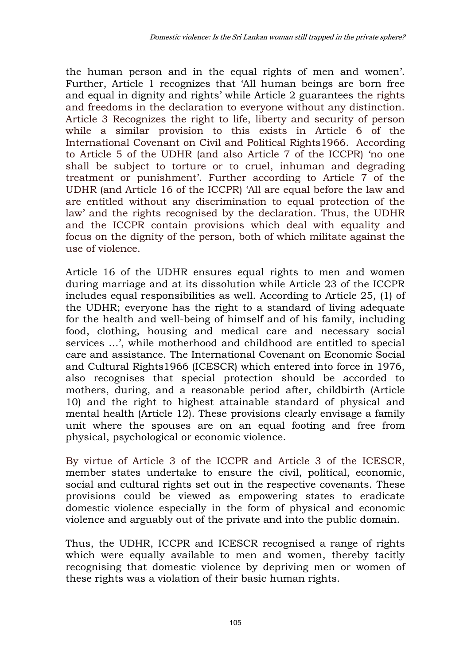the human person and in the equal rights of men and women'. Further, Article 1 recognizes that 'All human beings are born free and equal in dignity and rights' while Article 2 guarantees the rights and freedoms in the declaration to everyone without any distinction. Article 3 Recognizes the right to life, liberty and security of person while a similar provision to this exists in Article 6 of the International Covenant on Civil and Political Rights1966. According to Article 5 of the UDHR (and also Article 7 of the ICCPR) 'no one shall be subject to torture or to cruel, inhuman and degrading treatment or punishment'. Further according to Article 7 of the UDHR (and Article 16 of the ICCPR) 'All are equal before the law and are entitled without any discrimination to equal protection of the law' and the rights recognised by the declaration. Thus, the UDHR and the ICCPR contain provisions which deal with equality and focus on the dignity of the person, both of which militate against the use of violence.

Article 16 of the UDHR ensures equal rights to men and women during marriage and at its dissolution while Article 23 of the ICCPR includes equal responsibilities as well. According to Article 25, (1) of the UDHR; everyone has the right to a standard of living adequate for the health and well-being of himself and of his family, including food, clothing, housing and medical care and necessary social services …', while motherhood and childhood are entitled to special care and assistance. The International Covenant on Economic Social and Cultural Rights1966 (ICESCR) which entered into force in 1976, also recognises that special protection should be accorded to mothers, during, and a reasonable period after, childbirth (Article 10) and the right to highest attainable standard of physical and mental health (Article 12). These provisions clearly envisage a family unit where the spouses are on an equal footing and free from physical, psychological or economic violence.

By virtue of Article 3 of the ICCPR and Article 3 of the ICESCR, member states undertake to ensure the civil, political, economic, social and cultural rights set out in the respective covenants. These provisions could be viewed as empowering states to eradicate domestic violence especially in the form of physical and economic violence and arguably out of the private and into the public domain.

Thus, the UDHR, ICCPR and ICESCR recognised a range of rights which were equally available to men and women, thereby tacitly recognising that domestic violence by depriving men or women of these rights was a violation of their basic human rights.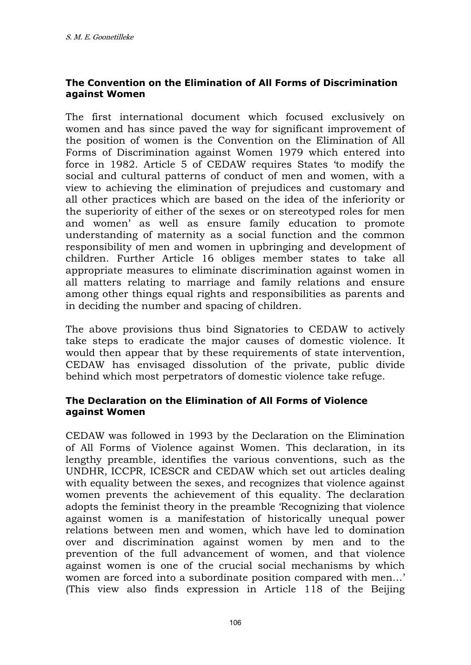### **The Convention on the Elimination of All Forms of Discrimination against Women**

The first international document which focused exclusively on women and has since paved the way for significant improvement of the position of women is the Convention on the Elimination of All Forms of Discrimination against Women 1979 which entered into force in 1982. Article 5 of CEDAW requires States 'to modify the social and cultural patterns of conduct of men and women, with a view to achieving the elimination of prejudices and customary and all other practices which are based on the idea of the inferiority or the superiority of either of the sexes or on stereotyped roles for men and women' as well as ensure family education to promote understanding of maternity as a social function and the common responsibility of men and women in upbringing and development of children. Further Article 16 obliges member states to take all appropriate measures to eliminate discrimination against women in all matters relating to marriage and family relations and ensure among other things equal rights and responsibilities as parents and in deciding the number and spacing of children.

The above provisions thus bind Signatories to CEDAW to actively take steps to eradicate the major causes of domestic violence. It would then appear that by these requirements of state intervention, CEDAW has envisaged dissolution of the private, public divide behind which most perpetrators of domestic violence take refuge.

#### **The Declaration on the Elimination of All Forms of Violence against Women**

CEDAW was followed in 1993 by the Declaration on the Elimination of All Forms of Violence against Women. This declaration, in its lengthy preamble, identifies the various conventions, such as the UNDHR, ICCPR, ICESCR and CEDAW which set out articles dealing with equality between the sexes, and recognizes that violence against women prevents the achievement of this equality. The declaration adopts the feminist theory in the preamble 'Recognizing that violence against women is a manifestation of historically unequal power relations between men and women, which have led to domination over and discrimination against women by men and to the prevention of the full advancement of women, and that violence against women is one of the crucial social mechanisms by which women are forced into a subordinate position compared with men…' (This view also finds expression in Article 118 of the Beijing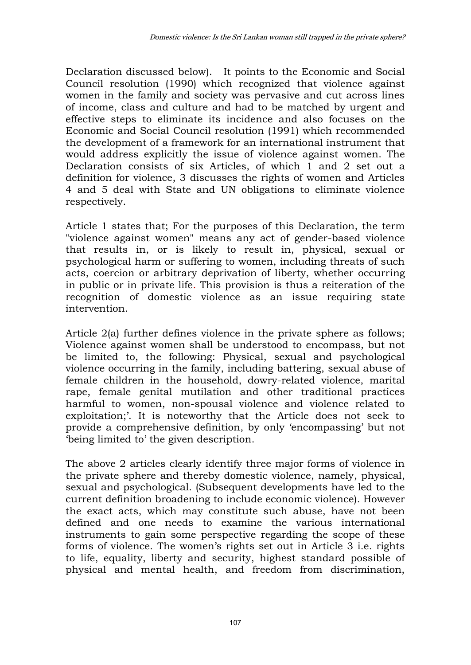Declaration discussed below). It points to the Economic and Social Council resolution (1990) which recognized that violence against women in the family and society was pervasive and cut across lines of income, class and culture and had to be matched by urgent and effective steps to eliminate its incidence and also focuses on the Economic and Social Council resolution (1991) which recommended the development of a framework for an international instrument that would address explicitly the issue of violence against women. The Declaration consists of six Articles, of which 1 and 2 set out a definition for violence, 3 discusses the rights of women and Articles 4 and 5 deal with State and UN obligations to eliminate violence respectively.

Article 1 states that; For the purposes of this Declaration, the term "violence against women" means any act of gender-based violence that results in, or is likely to result in, physical, sexual or psychological harm or suffering to women, including threats of such acts, coercion or arbitrary deprivation of liberty, whether occurring in public or in private life. This provision is thus a reiteration of the recognition of domestic violence as an issue requiring state intervention.

Article 2(a) further defines violence in the private sphere as follows; Violence against women shall be understood to encompass, but not be limited to, the following: Physical, sexual and psychological violence occurring in the family, including battering, sexual abuse of female children in the household, dowry-related violence, marital rape, female genital mutilation and other traditional practices harmful to women, non-spousal violence and violence related to exploitation;'. It is noteworthy that the Article does not seek to provide a comprehensive definition, by only 'encompassing' but not 'being limited to' the given description.

The above 2 articles clearly identify three major forms of violence in the private sphere and thereby domestic violence, namely, physical, sexual and psychological. (Subsequent developments have led to the current definition broadening to include economic violence). However the exact acts, which may constitute such abuse, have not been defined and one needs to examine the various international instruments to gain some perspective regarding the scope of these forms of violence. The women's rights set out in Article 3 i.e. rights to life, equality, liberty and security, highest standard possible of physical and mental health, and freedom from discrimination,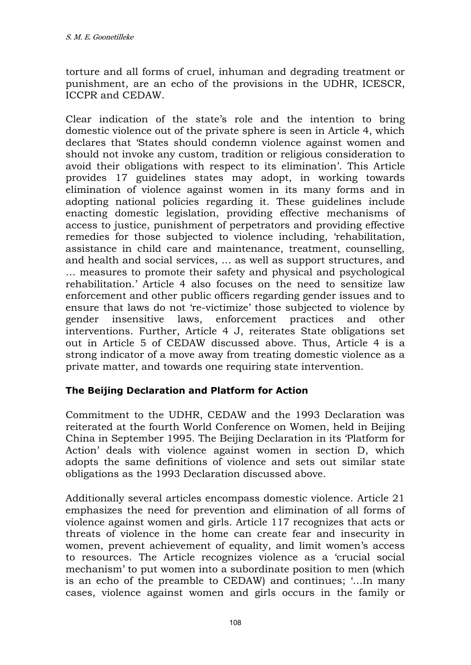torture and all forms of cruel, inhuman and degrading treatment or punishment, are an echo of the provisions in the UDHR, ICESCR, ICCPR and CEDAW.

Clear indication of the state's role and the intention to bring domestic violence out of the private sphere is seen in Article 4, which declares that 'States should condemn violence against women and should not invoke any custom, tradition or religious consideration to avoid their obligations with respect to its elimination'. This Article provides 17 guidelines states may adopt, in working towards elimination of violence against women in its many forms and in adopting national policies regarding it. These guidelines include enacting domestic legislation, providing effective mechanisms of access to justice, punishment of perpetrators and providing effective remedies for those subjected to violence including, 'rehabilitation, assistance in child care and maintenance, treatment, counselling, and health and social services, … as well as support structures, and … measures to promote their safety and physical and psychological rehabilitation.' Article 4 also focuses on the need to sensitize law enforcement and other public officers regarding gender issues and to ensure that laws do not 're-victimize' those subjected to violence by gender insensitive laws, enforcement practices and other interventions. Further, Article 4 J, reiterates State obligations set out in Article 5 of CEDAW discussed above. Thus, Article 4 is a strong indicator of a move away from treating domestic violence as a private matter, and towards one requiring state intervention.

#### **The Beijing Declaration and Platform for Action**

Commitment to the UDHR, CEDAW and the 1993 Declaration was reiterated at the fourth World Conference on Women, held in Beijing China in September 1995. The Beijing Declaration in its 'Platform for Action' deals with violence against women in section D, which adopts the same definitions of violence and sets out similar state obligations as the 1993 Declaration discussed above.

Additionally several articles encompass domestic violence. Article 21 emphasizes the need for prevention and elimination of all forms of violence against women and girls. Article 117 recognizes that acts or threats of violence in the home can create fear and insecurity in women, prevent achievement of equality, and limit women's access to resources. The Article recognizes violence as a 'crucial social mechanism' to put women into a subordinate position to men (which is an echo of the preamble to CEDAW) and continues; '…In many cases, violence against women and girls occurs in the family or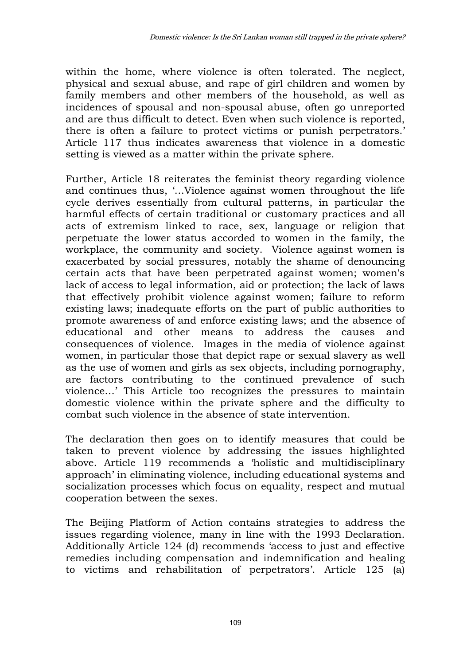within the home, where violence is often tolerated. The neglect, physical and sexual abuse, and rape of girl children and women by family members and other members of the household, as well as incidences of spousal and non-spousal abuse, often go unreported and are thus difficult to detect. Even when such violence is reported, there is often a failure to protect victims or punish perpetrators.' Article 117 thus indicates awareness that violence in a domestic setting is viewed as a matter within the private sphere.

Further, Article 18 reiterates the feminist theory regarding violence and continues thus, '…Violence against women throughout the life cycle derives essentially from cultural patterns, in particular the harmful effects of certain traditional or customary practices and all acts of extremism linked to race, sex, language or religion that perpetuate the lower status accorded to women in the family, the workplace, the community and society. Violence against women is exacerbated by social pressures, notably the shame of denouncing certain acts that have been perpetrated against women; women's lack of access to legal information, aid or protection; the lack of laws that effectively prohibit violence against women; failure to reform existing laws; inadequate efforts on the part of public authorities to promote awareness of and enforce existing laws; and the absence of educational and other means to address the causes and consequences of violence. Images in the media of violence against women, in particular those that depict rape or sexual slavery as well as the use of women and girls as sex objects, including pornography, are factors contributing to the continued prevalence of such violence…' This Article too recognizes the pressures to maintain domestic violence within the private sphere and the difficulty to combat such violence in the absence of state intervention.

The declaration then goes on to identify measures that could be taken to prevent violence by addressing the issues highlighted above. Article 119 recommends a 'holistic and multidisciplinary approach' in eliminating violence, including educational systems and socialization processes which focus on equality, respect and mutual cooperation between the sexes.

The Beijing Platform of Action contains strategies to address the issues regarding violence, many in line with the 1993 Declaration. Additionally Article 124 (d) recommends 'access to just and effective remedies including compensation and indemnification and healing to victims and rehabilitation of perpetrators'. Article 125 (a)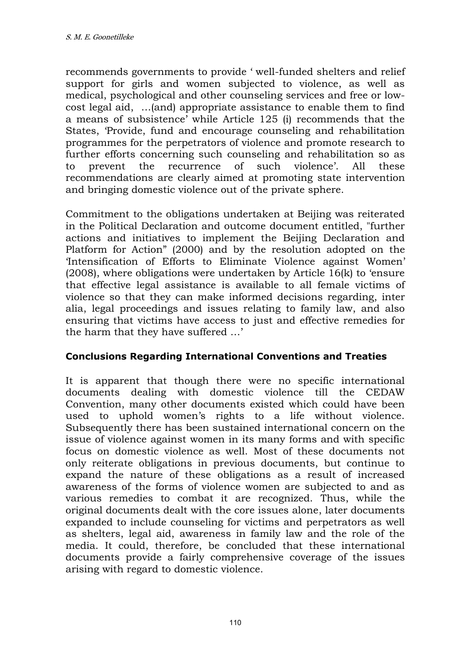recommends governments to provide ' well-funded shelters and relief support for girls and women subjected to violence, as well as medical, psychological and other counseling services and free or lowcost legal aid, …(and) appropriate assistance to enable them to find a means of subsistence' while Article 125 (i) recommends that the States, 'Provide, fund and encourage counseling and rehabilitation programmes for the perpetrators of violence and promote research to further efforts concerning such counseling and rehabilitation so as to prevent the recurrence of such violence'. All these recommendations are clearly aimed at promoting state intervention and bringing domestic violence out of the private sphere.

Commitment to the obligations undertaken at Beijing was reiterated in the Political Declaration and outcome document entitled, "further actions and initiatives to implement the Beijing Declaration and Platform for Action" (2000) and by the resolution adopted on the 'Intensification of Efforts to Eliminate Violence against Women' (2008), where obligations were undertaken by Article 16(k) to 'ensure that effective legal assistance is available to all female victims of violence so that they can make informed decisions regarding, inter alia, legal proceedings and issues relating to family law, and also ensuring that victims have access to just and effective remedies for the harm that they have suffered …'

#### **Conclusions Regarding International Conventions and Treaties**

It is apparent that though there were no specific international documents dealing with domestic violence till the CEDAW Convention, many other documents existed which could have been used to uphold women's rights to a life without violence. Subsequently there has been sustained international concern on the issue of violence against women in its many forms and with specific focus on domestic violence as well. Most of these documents not only reiterate obligations in previous documents, but continue to expand the nature of these obligations as a result of increased awareness of the forms of violence women are subjected to and as various remedies to combat it are recognized. Thus, while the original documents dealt with the core issues alone, later documents expanded to include counseling for victims and perpetrators as well as shelters, legal aid, awareness in family law and the role of the media. It could, therefore, be concluded that these international documents provide a fairly comprehensive coverage of the issues arising with regard to domestic violence.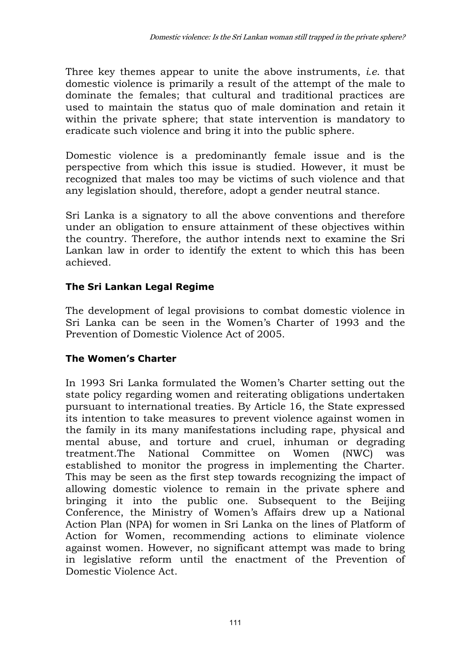Three key themes appear to unite the above instruments, *i.e*. that domestic violence is primarily a result of the attempt of the male to dominate the females; that cultural and traditional practices are used to maintain the status quo of male domination and retain it within the private sphere; that state intervention is mandatory to eradicate such violence and bring it into the public sphere.

Domestic violence is a predominantly female issue and is the perspective from which this issue is studied. However, it must be recognized that males too may be victims of such violence and that any legislation should, therefore, adopt a gender neutral stance.

Sri Lanka is a signatory to all the above conventions and therefore under an obligation to ensure attainment of these objectives within the country. Therefore, the author intends next to examine the Sri Lankan law in order to identify the extent to which this has been achieved.

# **The Sri Lankan Legal Regime**

The development of legal provisions to combat domestic violence in Sri Lanka can be seen in the Women's Charter of 1993 and the Prevention of Domestic Violence Act of 2005.

# **The Women's Charter**

In 1993 Sri Lanka formulated the Women's Charter setting out the state policy regarding women and reiterating obligations undertaken pursuant to international treaties. By Article 16, the State expressed its intention to take measures to prevent violence against women in the family in its many manifestations including rape, physical and mental abuse, and torture and cruel, inhuman or degrading treatment.The National Committee on Women (NWC) was established to monitor the progress in implementing the Charter. This may be seen as the first step towards recognizing the impact of allowing domestic violence to remain in the private sphere and bringing it into the public one. Subsequent to the Beijing Conference, the Ministry of Women's Affairs drew up a National Action Plan (NPA) for women in Sri Lanka on the lines of Platform of Action for Women, recommending actions to eliminate violence against women. However, no significant attempt was made to bring in legislative reform until the enactment of the Prevention of Domestic Violence Act.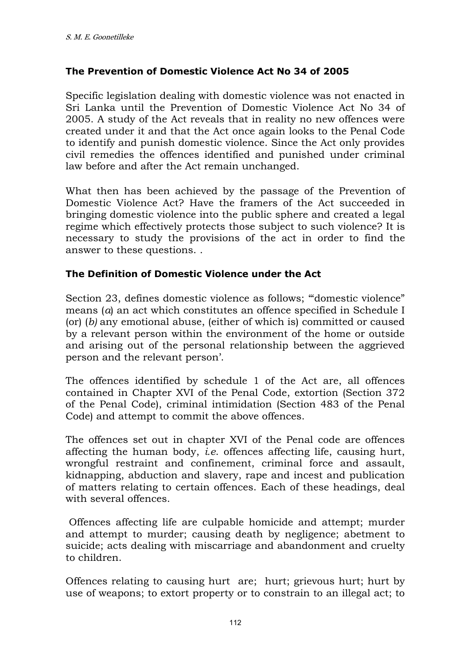#### **The Prevention of Domestic Violence Act No 34 of 2005**

Specific legislation dealing with domestic violence was not enacted in Sri Lanka until the Prevention of Domestic Violence Act No 34 of 2005. A study of the Act reveals that in reality no new offences were created under it and that the Act once again looks to the Penal Code to identify and punish domestic violence. Since the Act only provides civil remedies the offences identified and punished under criminal law before and after the Act remain unchanged.

What then has been achieved by the passage of the Prevention of Domestic Violence Act? Have the framers of the Act succeeded in bringing domestic violence into the public sphere and created a legal regime which effectively protects those subject to such violence? It is necessary to study the provisions of the act in order to find the answer to these questions. .

#### **The Definition of Domestic Violence under the Act**

Section 23, defines domestic violence as follows; '"domestic violence" means (*a*) an act which constitutes an offence specified in Schedule I (or) (*b)* any emotional abuse, (either of which is) committed or caused by a relevant person within the environment of the home or outside and arising out of the personal relationship between the aggrieved person and the relevant person'.

The offences identified by schedule 1 of the Act are, all offences contained in Chapter XVI of the Penal Code, extortion (Section 372 of the Penal Code), criminal intimidation (Section 483 of the Penal Code) and attempt to commit the above offences.

The offences set out in chapter XVI of the Penal code are offences affecting the human body, *i.e*. offences affecting life, causing hurt, wrongful restraint and confinement, criminal force and assault, kidnapping, abduction and slavery, rape and incest and publication of matters relating to certain offences. Each of these headings, deal with several offences.

 Offences affecting life are culpable homicide and attempt; murder and attempt to murder; causing death by negligence; abetment to suicide; acts dealing with miscarriage and abandonment and cruelty to children.

Offences relating to causing hurt are; hurt; grievous hurt; hurt by use of weapons; to extort property or to constrain to an illegal act; to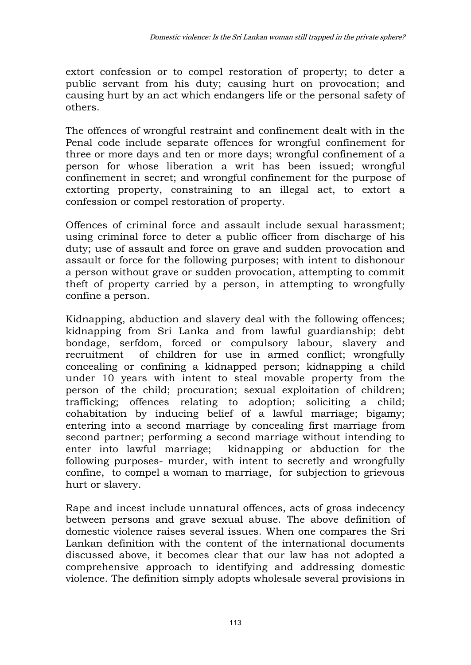extort confession or to compel restoration of property; to deter a public servant from his duty; causing hurt on provocation; and causing hurt by an act which endangers life or the personal safety of others.

The offences of wrongful restraint and confinement dealt with in the Penal code include separate offences for wrongful confinement for three or more days and ten or more days; wrongful confinement of a person for whose liberation a writ has been issued; wrongful confinement in secret; and wrongful confinement for the purpose of extorting property, constraining to an illegal act, to extort a confession or compel restoration of property.

Offences of criminal force and assault include sexual harassment; using criminal force to deter a public officer from discharge of his duty; use of assault and force on grave and sudden provocation and assault or force for the following purposes; with intent to dishonour a person without grave or sudden provocation, attempting to commit theft of property carried by a person, in attempting to wrongfully confine a person.

Kidnapping, abduction and slavery deal with the following offences; kidnapping from Sri Lanka and from lawful guardianship; debt bondage, serfdom, forced or compulsory labour, slavery and recruitment of children for use in armed conflict; wrongfully concealing or confining a kidnapped person; kidnapping a child under 10 years with intent to steal movable property from the person of the child; procuration; sexual exploitation of children; trafficking; offences relating to adoption; soliciting a child; cohabitation by inducing belief of a lawful marriage; bigamy; entering into a second marriage by concealing first marriage from second partner; performing a second marriage without intending to enter into lawful marriage; kidnapping or abduction for the following purposes- murder, with intent to secretly and wrongfully confine, to compel a woman to marriage, for subjection to grievous hurt or slavery.

Rape and incest include unnatural offences, acts of gross indecency between persons and grave sexual abuse. The above definition of domestic violence raises several issues. When one compares the Sri Lankan definition with the content of the international documents discussed above, it becomes clear that our law has not adopted a comprehensive approach to identifying and addressing domestic violence. The definition simply adopts wholesale several provisions in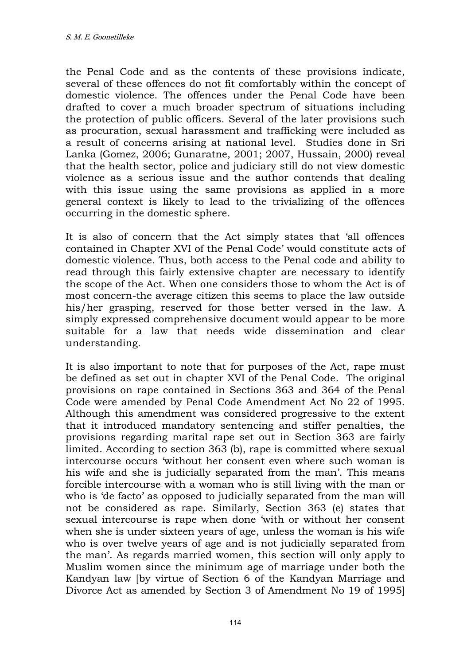the Penal Code and as the contents of these provisions indicate, several of these offences do not fit comfortably within the concept of domestic violence. The offences under the Penal Code have been drafted to cover a much broader spectrum of situations including the protection of public officers. Several of the later provisions such as procuration, sexual harassment and trafficking were included as a result of concerns arising at national level. Studies done in Sri Lanka (Gomez, 2006; Gunaratne, 2001; 2007, Hussain, 2000) reveal that the health sector, police and judiciary still do not view domestic violence as a serious issue and the author contends that dealing with this issue using the same provisions as applied in a more general context is likely to lead to the trivializing of the offences occurring in the domestic sphere.

It is also of concern that the Act simply states that 'all offences contained in Chapter XVI of the Penal Code' would constitute acts of domestic violence. Thus, both access to the Penal code and ability to read through this fairly extensive chapter are necessary to identify the scope of the Act. When one considers those to whom the Act is of most concern-the average citizen this seems to place the law outside his/her grasping, reserved for those better versed in the law. A simply expressed comprehensive document would appear to be more suitable for a law that needs wide dissemination and clear understanding.

It is also important to note that for purposes of the Act, rape must be defined as set out in chapter XVI of the Penal Code. The original provisions on rape contained in Sections 363 and 364 of the Penal Code were amended by Penal Code Amendment Act No 22 of 1995. Although this amendment was considered progressive to the extent that it introduced mandatory sentencing and stiffer penalties, the provisions regarding marital rape set out in Section 363 are fairly limited. According to section 363 (b), rape is committed where sexual intercourse occurs 'without her consent even where such woman is his wife and she is judicially separated from the man'. This means forcible intercourse with a woman who is still living with the man or who is 'de facto' as opposed to judicially separated from the man will not be considered as rape. Similarly, Section 363 (e) states that sexual intercourse is rape when done 'with or without her consent when she is under sixteen years of age, unless the woman is his wife who is over twelve years of age and is not judicially separated from the man'. As regards married women, this section will only apply to Muslim women since the minimum age of marriage under both the Kandyan law [by virtue of Section 6 of the Kandyan Marriage and Divorce Act as amended by Section 3 of Amendment No 19 of 1995]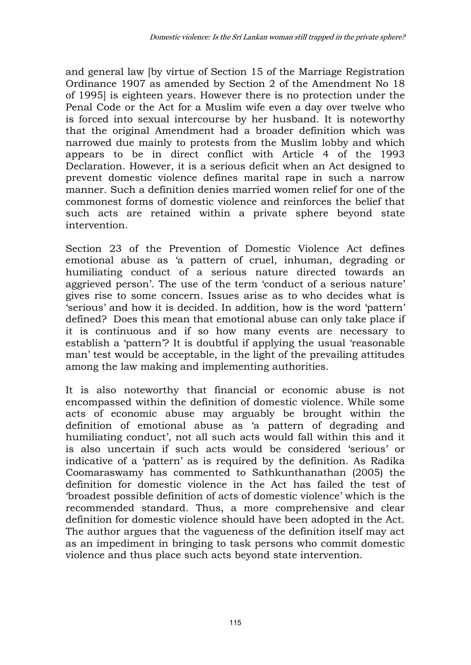and general law [by virtue of Section 15 of the Marriage Registration Ordinance 1907 as amended by Section 2 of the Amendment No 18 of 1995] is eighteen years. However there is no protection under the Penal Code or the Act for a Muslim wife even a day over twelve who is forced into sexual intercourse by her husband. It is noteworthy that the original Amendment had a broader definition which was narrowed due mainly to protests from the Muslim lobby and which appears to be in direct conflict with Article 4 of the 1993 Declaration. However, it is a serious deficit when an Act designed to prevent domestic violence defines marital rape in such a narrow manner. Such a definition denies married women relief for one of the commonest forms of domestic violence and reinforces the belief that such acts are retained within a private sphere beyond state intervention.

Section 23 of the Prevention of Domestic Violence Act defines emotional abuse as 'a pattern of cruel, inhuman, degrading or humiliating conduct of a serious nature directed towards an aggrieved person'. The use of the term 'conduct of a serious nature' gives rise to some concern. Issues arise as to who decides what is 'serious' and how it is decided. In addition, how is the word 'pattern' defined? Does this mean that emotional abuse can only take place if it is continuous and if so how many events are necessary to establish a 'pattern'? It is doubtful if applying the usual 'reasonable man' test would be acceptable, in the light of the prevailing attitudes among the law making and implementing authorities.

It is also noteworthy that financial or economic abuse is not encompassed within the definition of domestic violence. While some acts of economic abuse may arguably be brought within the definition of emotional abuse as 'a pattern of degrading and humiliating conduct', not all such acts would fall within this and it is also uncertain if such acts would be considered 'serious' or indicative of a 'pattern' as is required by the definition. As Radika Coomaraswamy has commented to Sathkunthanathan (2005) the definition for domestic violence in the Act has failed the test of 'broadest possible definition of acts of domestic violence' which is the recommended standard. Thus, a more comprehensive and clear definition for domestic violence should have been adopted in the Act. The author argues that the vagueness of the definition itself may act as an impediment in bringing to task persons who commit domestic violence and thus place such acts beyond state intervention.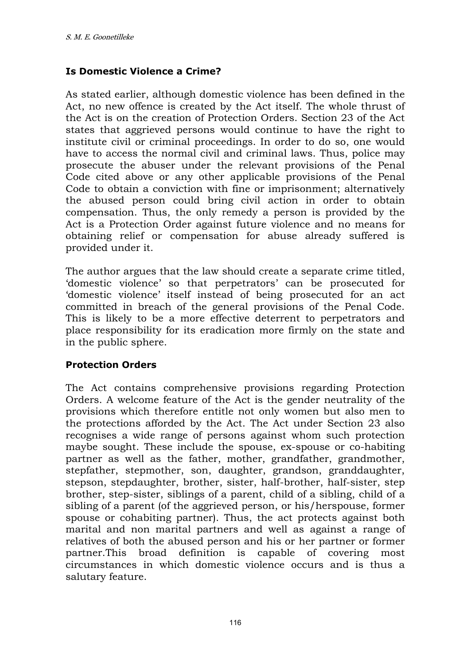### **Is Domestic Violence a Crime?**

As stated earlier, although domestic violence has been defined in the Act, no new offence is created by the Act itself. The whole thrust of the Act is on the creation of Protection Orders. Section 23 of the Act states that aggrieved persons would continue to have the right to institute civil or criminal proceedings. In order to do so, one would have to access the normal civil and criminal laws. Thus, police may prosecute the abuser under the relevant provisions of the Penal Code cited above or any other applicable provisions of the Penal Code to obtain a conviction with fine or imprisonment; alternatively the abused person could bring civil action in order to obtain compensation. Thus, the only remedy a person is provided by the Act is a Protection Order against future violence and no means for obtaining relief or compensation for abuse already suffered is provided under it.

The author argues that the law should create a separate crime titled, 'domestic violence' so that perpetrators' can be prosecuted for 'domestic violence' itself instead of being prosecuted for an act committed in breach of the general provisions of the Penal Code. This is likely to be a more effective deterrent to perpetrators and place responsibility for its eradication more firmly on the state and in the public sphere.

#### **Protection Orders**

The Act contains comprehensive provisions regarding Protection Orders. A welcome feature of the Act is the gender neutrality of the provisions which therefore entitle not only women but also men to the protections afforded by the Act. The Act under Section 23 also recognises a wide range of persons against whom such protection maybe sought. These include the spouse, ex-spouse or co-habiting partner as well as the father, mother, grandfather, grandmother, stepfather, stepmother, son, daughter, grandson, granddaughter, stepson, stepdaughter, brother, sister, half-brother, half-sister, step brother, step-sister, siblings of a parent, child of a sibling, child of a sibling of a parent (of the aggrieved person, or his/herspouse, former spouse or cohabiting partner). Thus, the act protects against both marital and non marital partners and well as against a range of relatives of both the abused person and his or her partner or former partner.This broad definition is capable of covering most circumstances in which domestic violence occurs and is thus a salutary feature.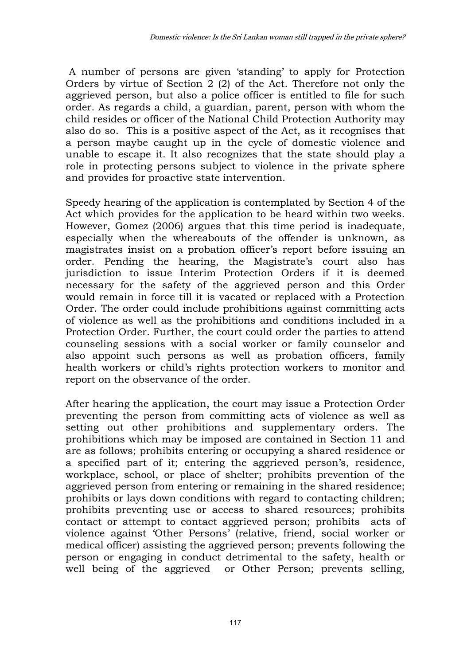A number of persons are given 'standing' to apply for Protection Orders by virtue of Section 2 (2) of the Act. Therefore not only the aggrieved person, but also a police officer is entitled to file for such order. As regards a child, a guardian, parent, person with whom the child resides or officer of the National Child Protection Authority may also do so. This is a positive aspect of the Act, as it recognises that a person maybe caught up in the cycle of domestic violence and unable to escape it. It also recognizes that the state should play a role in protecting persons subject to violence in the private sphere and provides for proactive state intervention.

Speedy hearing of the application is contemplated by Section 4 of the Act which provides for the application to be heard within two weeks. However, Gomez (2006) argues that this time period is inadequate, especially when the whereabouts of the offender is unknown, as magistrates insist on a probation officer's report before issuing an order. Pending the hearing, the Magistrate's court also has jurisdiction to issue Interim Protection Orders if it is deemed necessary for the safety of the aggrieved person and this Order would remain in force till it is vacated or replaced with a Protection Order. The order could include prohibitions against committing acts of violence as well as the prohibitions and conditions included in a Protection Order. Further, the court could order the parties to attend counseling sessions with a social worker or family counselor and also appoint such persons as well as probation officers, family health workers or child's rights protection workers to monitor and report on the observance of the order.

After hearing the application, the court may issue a Protection Order preventing the person from committing acts of violence as well as setting out other prohibitions and supplementary orders. The prohibitions which may be imposed are contained in Section 11 and are as follows; prohibits entering or occupying a shared residence or a specified part of it; entering the aggrieved person's, residence, workplace, school, or place of shelter; prohibits prevention of the aggrieved person from entering or remaining in the shared residence; prohibits or lays down conditions with regard to contacting children; prohibits preventing use or access to shared resources; prohibits contact or attempt to contact aggrieved person; prohibits acts of violence against 'Other Persons' (relative, friend, social worker or medical officer) assisting the aggrieved person; prevents following the person or engaging in conduct detrimental to the safety, health or well being of the aggrieved or Other Person; prevents selling,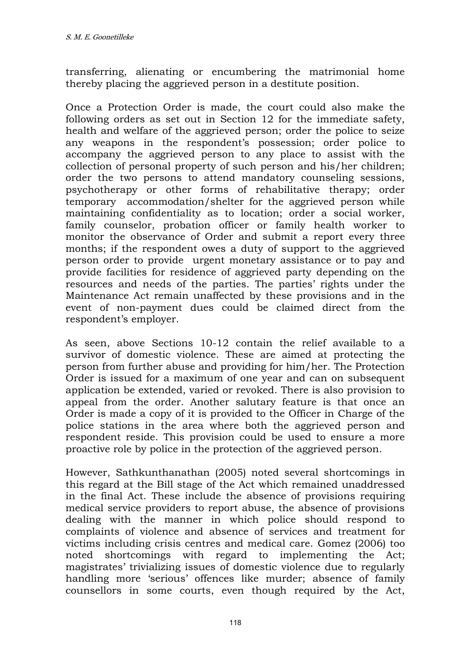transferring, alienating or encumbering the matrimonial home thereby placing the aggrieved person in a destitute position.

Once a Protection Order is made, the court could also make the following orders as set out in Section 12 for the immediate safety, health and welfare of the aggrieved person; order the police to seize any weapons in the respondent's possession; order police to accompany the aggrieved person to any place to assist with the collection of personal property of such person and his/her children; order the two persons to attend mandatory counseling sessions, psychotherapy or other forms of rehabilitative therapy; order temporary accommodation/shelter for the aggrieved person while maintaining confidentiality as to location; order a social worker, family counselor, probation officer or family health worker to monitor the observance of Order and submit a report every three months; if the respondent owes a duty of support to the aggrieved person order to provide urgent monetary assistance or to pay and provide facilities for residence of aggrieved party depending on the resources and needs of the parties. The parties' rights under the Maintenance Act remain unaffected by these provisions and in the event of non-payment dues could be claimed direct from the respondent's employer.

As seen, above Sections 10-12 contain the relief available to a survivor of domestic violence. These are aimed at protecting the person from further abuse and providing for him/her. The Protection Order is issued for a maximum of one year and can on subsequent application be extended, varied or revoked. There is also provision to appeal from the order. Another salutary feature is that once an Order is made a copy of it is provided to the Officer in Charge of the police stations in the area where both the aggrieved person and respondent reside. This provision could be used to ensure a more proactive role by police in the protection of the aggrieved person.

However, Sathkunthanathan (2005) noted several shortcomings in this regard at the Bill stage of the Act which remained unaddressed in the final Act. These include the absence of provisions requiring medical service providers to report abuse, the absence of provisions dealing with the manner in which police should respond to complaints of violence and absence of services and treatment for victims including crisis centres and medical care. Gomez (2006) too noted shortcomings with regard to implementing the Act; magistrates' trivializing issues of domestic violence due to regularly handling more 'serious' offences like murder; absence of family counsellors in some courts, even though required by the Act,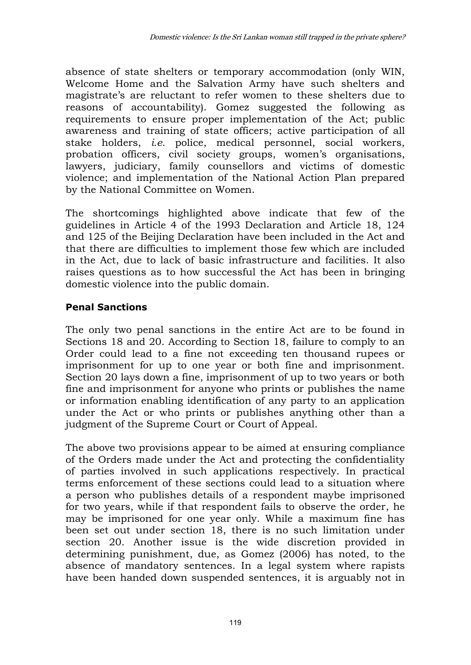absence of state shelters or temporary accommodation (only WIN, Welcome Home and the Salvation Army have such shelters and magistrate's are reluctant to refer women to these shelters due to reasons of accountability). Gomez suggested the following as requirements to ensure proper implementation of the Act; public awareness and training of state officers; active participation of all stake holders, *i.e*. police, medical personnel, social workers, probation officers, civil society groups, women's organisations, lawyers, judiciary, family counsellors and victims of domestic violence; and implementation of the National Action Plan prepared by the National Committee on Women.

The shortcomings highlighted above indicate that few of the guidelines in Article 4 of the 1993 Declaration and Article 18, 124 and 125 of the Beijing Declaration have been included in the Act and that there are difficulties to implement those few which are included in the Act, due to lack of basic infrastructure and facilities. It also raises questions as to how successful the Act has been in bringing domestic violence into the public domain.

### **Penal Sanctions**

The only two penal sanctions in the entire Act are to be found in Sections 18 and 20. According to Section 18, failure to comply to an Order could lead to a fine not exceeding ten thousand rupees or imprisonment for up to one year or both fine and imprisonment. Section 20 lays down a fine, imprisonment of up to two years or both fine and imprisonment for anyone who prints or publishes the name or information enabling identification of any party to an application under the Act or who prints or publishes anything other than a judgment of the Supreme Court or Court of Appeal.

The above two provisions appear to be aimed at ensuring compliance of the Orders made under the Act and protecting the confidentiality of parties involved in such applications respectively. In practical terms enforcement of these sections could lead to a situation where a person who publishes details of a respondent maybe imprisoned for two years, while if that respondent fails to observe the order, he may be imprisoned for one year only. While a maximum fine has been set out under section 18, there is no such limitation under section 20. Another issue is the wide discretion provided in determining punishment, due, as Gomez (2006) has noted, to the absence of mandatory sentences. In a legal system where rapists have been handed down suspended sentences, it is arguably not in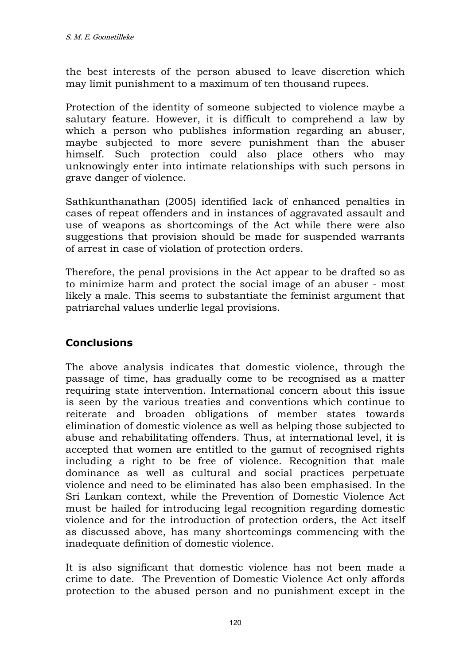the best interests of the person abused to leave discretion which may limit punishment to a maximum of ten thousand rupees.

Protection of the identity of someone subjected to violence maybe a salutary feature. However, it is difficult to comprehend a law by which a person who publishes information regarding an abuser, maybe subjected to more severe punishment than the abuser himself. Such protection could also place others who may unknowingly enter into intimate relationships with such persons in grave danger of violence.

Sathkunthanathan (2005) identified lack of enhanced penalties in cases of repeat offenders and in instances of aggravated assault and use of weapons as shortcomings of the Act while there were also suggestions that provision should be made for suspended warrants of arrest in case of violation of protection orders.

Therefore, the penal provisions in the Act appear to be drafted so as to minimize harm and protect the social image of an abuser - most likely a male. This seems to substantiate the feminist argument that patriarchal values underlie legal provisions.

# **Conclusions**

The above analysis indicates that domestic violence, through the passage of time, has gradually come to be recognised as a matter requiring state intervention. International concern about this issue is seen by the various treaties and conventions which continue to reiterate and broaden obligations of member states towards elimination of domestic violence as well as helping those subjected to abuse and rehabilitating offenders. Thus, at international level, it is accepted that women are entitled to the gamut of recognised rights including a right to be free of violence. Recognition that male dominance as well as cultural and social practices perpetuate violence and need to be eliminated has also been emphasised. In the Sri Lankan context, while the Prevention of Domestic Violence Act must be hailed for introducing legal recognition regarding domestic violence and for the introduction of protection orders, the Act itself as discussed above, has many shortcomings commencing with the inadequate definition of domestic violence.

It is also significant that domestic violence has not been made a crime to date. The Prevention of Domestic Violence Act only affords protection to the abused person and no punishment except in the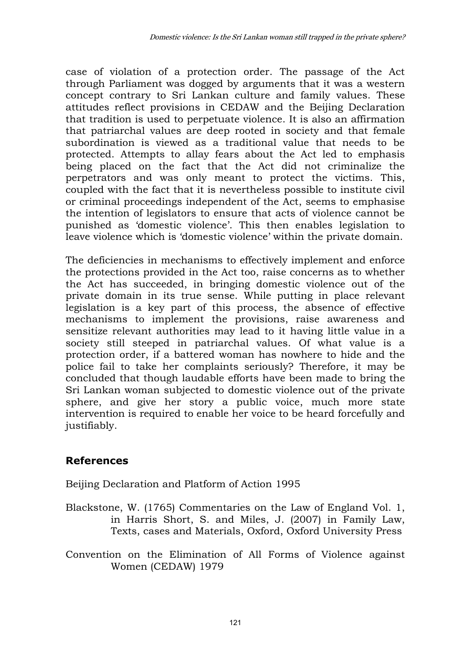case of violation of a protection order. The passage of the Act through Parliament was dogged by arguments that it was a western concept contrary to Sri Lankan culture and family values. These attitudes reflect provisions in CEDAW and the Beijing Declaration that tradition is used to perpetuate violence. It is also an affirmation that patriarchal values are deep rooted in society and that female subordination is viewed as a traditional value that needs to be protected. Attempts to allay fears about the Act led to emphasis being placed on the fact that the Act did not criminalize the perpetrators and was only meant to protect the victims. This, coupled with the fact that it is nevertheless possible to institute civil or criminal proceedings independent of the Act, seems to emphasise the intention of legislators to ensure that acts of violence cannot be punished as 'domestic violence'. This then enables legislation to leave violence which is 'domestic violence' within the private domain.

The deficiencies in mechanisms to effectively implement and enforce the protections provided in the Act too, raise concerns as to whether the Act has succeeded, in bringing domestic violence out of the private domain in its true sense. While putting in place relevant legislation is a key part of this process, the absence of effective mechanisms to implement the provisions, raise awareness and sensitize relevant authorities may lead to it having little value in a society still steeped in patriarchal values. Of what value is a protection order, if a battered woman has nowhere to hide and the police fail to take her complaints seriously? Therefore, it may be concluded that though laudable efforts have been made to bring the Sri Lankan woman subjected to domestic violence out of the private sphere, and give her story a public voice, much more state intervention is required to enable her voice to be heard forcefully and justifiably.

# **References**

Beijing Declaration and Platform of Action 1995

- Blackstone, W. (1765) Commentaries on the Law of England Vol. 1, in Harris Short, S. and Miles, J. (2007) in Family Law, Texts, cases and Materials, Oxford, Oxford University Press
- Convention on the Elimination of All Forms of Violence against Women (CEDAW) 1979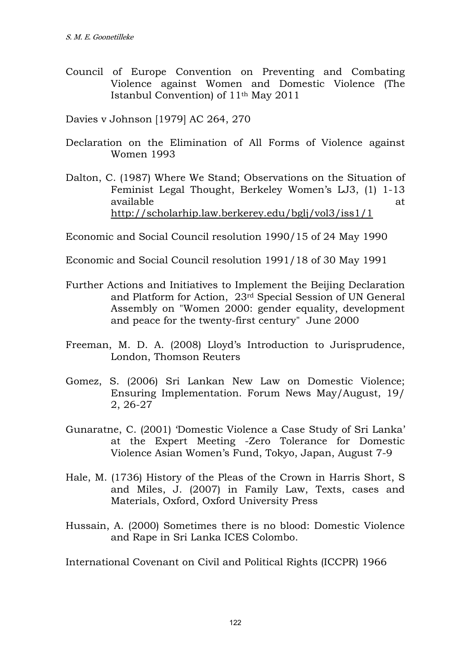Council of Europe Convention on Preventing and Combating Violence against Women and Domestic Violence (The Istanbul Convention) of 11th May 2011

Davies v Johnson [1979] AC 264, 270

- Declaration on the Elimination of All Forms of Violence against Women 1993
- Dalton, C. (1987) Where We Stand; Observations on the Situation of Feminist Legal Thought, Berkeley Women's LJ3, (1) 1-13 available at the state of the state at the state at the state at  $\alpha$ <http://scholarhip.law.berkerey.edu/bglj/vol3/iss1/1>

Economic and Social Council resolution 1990/15 of 24 May 1990

Economic and Social Council resolution 1991/18 of 30 May 1991

- Further Actions and Initiatives to Implement the Beijing Declaration and Platform for Action, 23rd Special Session of UN General Assembly on "Women 2000: gender equality, development and peace for the twenty-first century" June 2000
- Freeman, M. D. A. (2008) Lloyd's Introduction to Jurisprudence, London, Thomson Reuters
- Gomez, S. (2006) Sri Lankan New Law on Domestic Violence; Ensuring Implementation. Forum News May/August, 19/ 2, 26-27
- Gunaratne, C. (2001) 'Domestic Violence a Case Study of Sri Lanka' at the Expert Meeting -Zero Tolerance for Domestic Violence Asian Women's Fund, Tokyo, Japan, August 7-9
- Hale, M. (1736) History of the Pleas of the Crown in Harris Short, S and Miles, J. (2007) in Family Law, Texts, cases and Materials, Oxford, Oxford University Press
- Hussain, A. (2000) Sometimes there is no blood: Domestic Violence and Rape in Sri Lanka ICES Colombo.

International Covenant on Civil and Political Rights (ICCPR) 1966